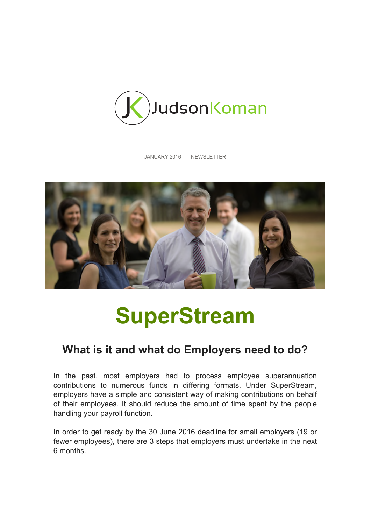

JANUARY 2016 | NEWSLETTER



# **SuperStream**

## **What is it and what do Employers need to do?**

In the past, most employers had to process employee superannuation contributions to numerous funds in differing formats. Under SuperStream, employers have a simple and consistent way of making contributions on behalf of their employees. It should reduce the amount of time spent by the people handling your payroll function.

In order to get ready by the 30 June 2016 deadline for small employers (19 or fewer employees), there are 3 steps that employers must undertake in the next 6 months.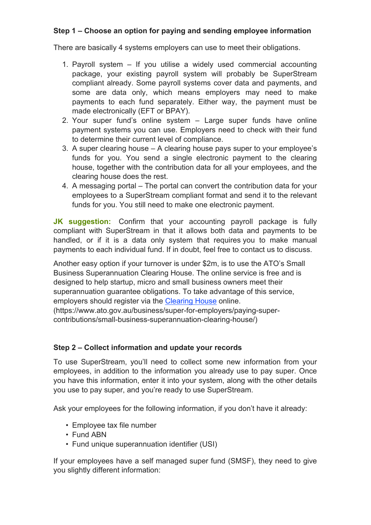### **Step 1 – Choose an option for paying and sending employee information**

There are basically 4 systems employers can use to meet their obligations.

- 1. Payroll system If you utilise a widely used commercial accounting package, your existing payroll system will probably be SuperStream compliant already. Some payroll systems cover data and payments, and some are data only, which means employers may need to make payments to each fund separately. Either way, the payment must be made electronically (EFT or BPAY).
- 2. Your super fund's online system Large super funds have online payment systems you can use. Employers need to check with their fund to determine their current level of compliance.
- 3. A super clearing house A clearing house pays super to your employee's funds for you. You send a single electronic payment to the clearing house, together with the contribution data for all your employees, and the clearing house does the rest.
- 4. A messaging portal The portal can convert the contribution data for your employees to a SuperStream compliant format and send it to the relevant funds for you. You still need to make one electronic payment.

**JK suggestion:** Confirm that your accounting payroll package is fully compliant with SuperStream in that it allows both data and payments to be handled, or if it is a data only system that requires you to make manual payments to each individual fund. If in doubt, feel free to contact us to discuss.

Another easy option if your turnover is under \$2m, is to use the ATO's Small Business Superannuation Clearing House. The online service is free and is designed to help startup, micro and small business owners meet their superannuation guarantee obligations. To take advantage of this service, employers should register via the Clearing House online. (https://www.ato.gov.au/business/super-for-employers/paying-supercontributions/small-business-superannuation-clearing-house/)

#### **Step 2 – Collect information and update your records**

To use SuperStream, you'll need to collect some new information from your employees, in addition to the information you already use to pay super. Once you have this information, enter it into your system, along with the other details you use to pay super, and you're ready to use SuperStream.

Ask your employees for the following information, if you don't have it already:

- Employee tax file number
- Fund ABN
- Fund unique superannuation identifier (USI)

If your employees have a self managed super fund (SMSF), they need to give you slightly different information: